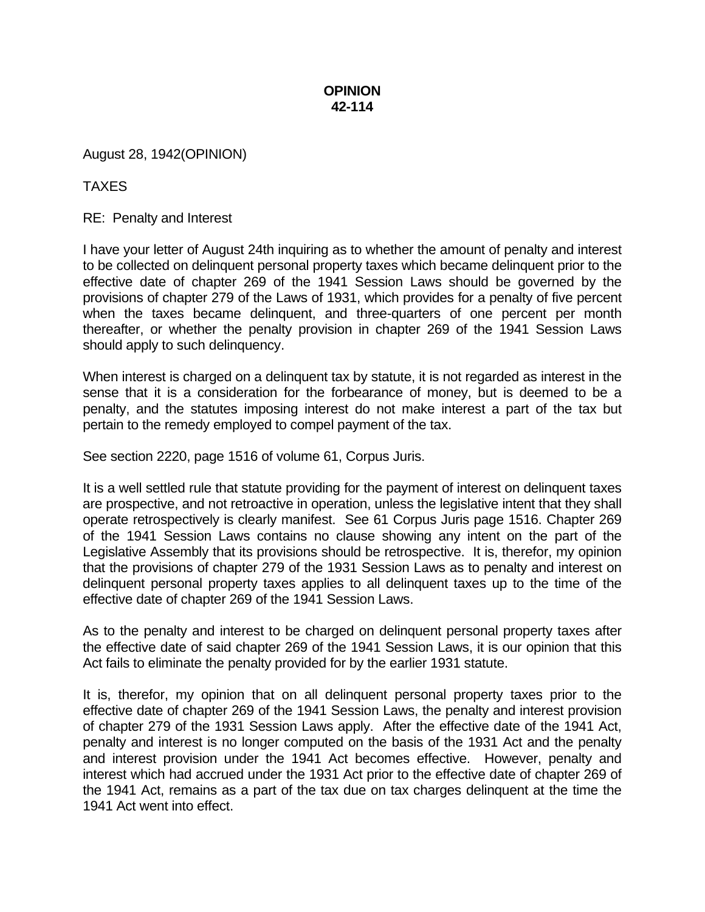## **OPINION 42-114**

August 28, 1942(OPINION)

TAXES

RE: Penalty and Interest

I have your letter of August 24th inquiring as to whether the amount of penalty and interest to be collected on delinquent personal property taxes which became delinquent prior to the effective date of chapter 269 of the 1941 Session Laws should be governed by the provisions of chapter 279 of the Laws of 1931, which provides for a penalty of five percent when the taxes became delinquent, and three-quarters of one percent per month thereafter, or whether the penalty provision in chapter 269 of the 1941 Session Laws should apply to such delinquency.

When interest is charged on a delinquent tax by statute, it is not regarded as interest in the sense that it is a consideration for the forbearance of money, but is deemed to be a penalty, and the statutes imposing interest do not make interest a part of the tax but pertain to the remedy employed to compel payment of the tax.

See section 2220, page 1516 of volume 61, Corpus Juris.

It is a well settled rule that statute providing for the payment of interest on delinquent taxes are prospective, and not retroactive in operation, unless the legislative intent that they shall operate retrospectively is clearly manifest. See 61 Corpus Juris page 1516. Chapter 269 of the 1941 Session Laws contains no clause showing any intent on the part of the Legislative Assembly that its provisions should be retrospective. It is, therefor, my opinion that the provisions of chapter 279 of the 1931 Session Laws as to penalty and interest on delinquent personal property taxes applies to all delinquent taxes up to the time of the effective date of chapter 269 of the 1941 Session Laws.

As to the penalty and interest to be charged on delinquent personal property taxes after the effective date of said chapter 269 of the 1941 Session Laws, it is our opinion that this Act fails to eliminate the penalty provided for by the earlier 1931 statute.

It is, therefor, my opinion that on all delinquent personal property taxes prior to the effective date of chapter 269 of the 1941 Session Laws, the penalty and interest provision of chapter 279 of the 1931 Session Laws apply. After the effective date of the 1941 Act, penalty and interest is no longer computed on the basis of the 1931 Act and the penalty and interest provision under the 1941 Act becomes effective. However, penalty and interest which had accrued under the 1931 Act prior to the effective date of chapter 269 of the 1941 Act, remains as a part of the tax due on tax charges delinquent at the time the 1941 Act went into effect.